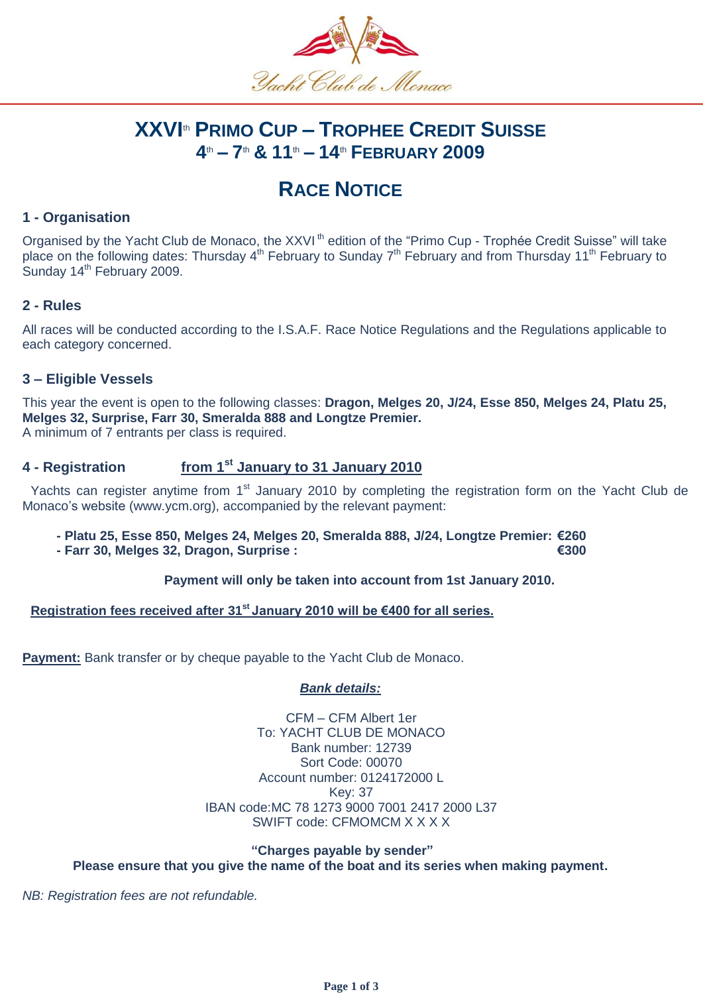

# **XXVI** th **PRIMO CUP – TROPHEE CREDIT SUISSE 4** th **– 7** th **& 11** th **– 14** th **FEBRUARY 2009**

# **RACE NOTICE**

## **1 - Organisation**

Organised by the Yacht Club de Monaco, the XXVI<sup>th</sup> edition of the "Primo Cup - Trophée Credit Suisse" will take place on the following dates: Thursday 4<sup>th</sup> February to Sunday 7<sup>th</sup> February and from Thursday 11<sup>th</sup> February to Sunday 14<sup>th</sup> February 2009.

### **2 - Rules**

All races will be conducted according to the I.S.A.F. Race Notice Regulations and the Regulations applicable to each category concerned.

### **3 – Eligible Vessels**

This year the event is open to the following classes: **Dragon, Melges 20, J/24, Esse 850, Melges 24, Platu 25, Melges 32, Surprise, Farr 30, Smeralda 888 and Longtze Premier.**  A minimum of 7 entrants per class is required.

#### **4** - Registration **st January to 31 January 2010**

Yachts can register anytime from 1<sup>st</sup> January 2010 by completing the registration form on the Yacht Club de Monaco's website (www.ycm.org), accompanied by the relevant payment:

- **- Platu 25, Esse 850, Melges 24, Melges 20, Smeralda 888, J/24, Longtze Premier: €260**
	- **- Farr 30, Melges 32, Dragon, Surprise : €300**

#### **Payment will only be taken into account from 1st January 2010.**

#### **Registration fees received after 31st January 2010 will be €400 for all series.**

**Payment:** Bank transfer or by cheque payable to the Yacht Club de Monaco.

### *Bank details:*

CFM – CFM Albert 1er To: YACHT CLUB DE MONACO Bank number: 12739 Sort Code: 00070 Account number: 0124172000 L Key: 37 IBAN code:MC 78 1273 9000 7001 2417 2000 L37 SWIFT code: CFMOMCM X X X X

#### **"Charges payable by sender" Please ensure that you give the name of the boat and its series when making payment.**

*NB: Registration fees are not refundable.*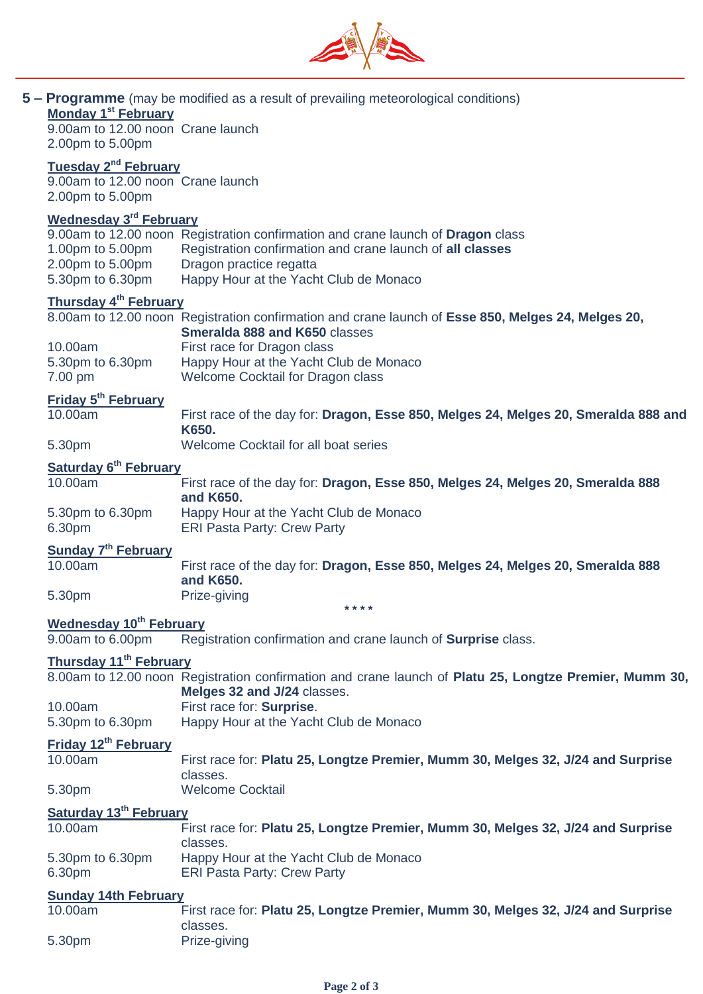

|                                    |                                                                      | <b>5 – Programme</b> (may be modified as a result of prevailing meteorological conditions)                                                                                                                        |
|------------------------------------|----------------------------------------------------------------------|-------------------------------------------------------------------------------------------------------------------------------------------------------------------------------------------------------------------|
|                                    | Monday 1 <sup>st</sup> February<br>9.00am to 12.00 noon Crane launch |                                                                                                                                                                                                                   |
|                                    | 2.00pm to 5.00pm                                                     |                                                                                                                                                                                                                   |
|                                    | Tuesday 2 <sup>nd</sup> February                                     |                                                                                                                                                                                                                   |
|                                    | 9.00am to 12.00 noon Crane launch<br>2.00pm to 5.00pm                |                                                                                                                                                                                                                   |
|                                    | <b>Wednesday 3rd February</b>                                        |                                                                                                                                                                                                                   |
|                                    | 1.00pm to 5.00pm<br>2.00pm to 5.00pm<br>5.30pm to 6.30pm             | 9.00am to 12.00 noon Registration confirmation and crane launch of Dragon class<br>Registration confirmation and crane launch of all classes<br>Dragon practice regatta<br>Happy Hour at the Yacht Club de Monaco |
|                                    | <b>Thursday 4<sup>th</sup> February</b>                              |                                                                                                                                                                                                                   |
|                                    |                                                                      | 8.00am to 12.00 noon Registration confirmation and crane launch of Esse 850, Melges 24, Melges 20,<br>Smeralda 888 and K650 classes                                                                               |
|                                    | 10.00am                                                              | First race for Dragon class                                                                                                                                                                                       |
|                                    | 5.30pm to 6.30pm<br>7.00 pm                                          | Happy Hour at the Yacht Club de Monaco<br>Welcome Cocktail for Dragon class                                                                                                                                       |
|                                    | Friday 5 <sup>th</sup> February                                      |                                                                                                                                                                                                                   |
|                                    | 10.00am                                                              | First race of the day for: Dragon, Esse 850, Melges 24, Melges 20, Smeralda 888 and<br>K650.                                                                                                                      |
|                                    | 5.30pm                                                               | Welcome Cocktail for all boat series                                                                                                                                                                              |
|                                    | Saturday 6 <sup>th</sup> February                                    |                                                                                                                                                                                                                   |
|                                    | 10.00am                                                              | First race of the day for: Dragon, Esse 850, Melges 24, Melges 20, Smeralda 888<br>and K650.                                                                                                                      |
|                                    | 5.30pm to 6.30pm<br>6.30pm                                           | Happy Hour at the Yacht Club de Monaco<br><b>ERI Pasta Party: Crew Party</b>                                                                                                                                      |
|                                    | Sunday 7 <sup>th</sup> February                                      |                                                                                                                                                                                                                   |
|                                    | 10.00am                                                              | First race of the day for: Dragon, Esse 850, Melges 24, Melges 20, Smeralda 888<br>and K650.                                                                                                                      |
|                                    | 5.30pm                                                               | Prize-giving<br>* * * *                                                                                                                                                                                           |
|                                    | <b>Wednesday 10th February</b>                                       |                                                                                                                                                                                                                   |
|                                    | 9.00am to 6.00pm                                                     | Registration confirmation and crane launch of Surprise class.                                                                                                                                                     |
|                                    | Thursday 11 <sup>th</sup> February                                   |                                                                                                                                                                                                                   |
|                                    |                                                                      | 8.00am to 12.00 noon Registration confirmation and crane launch of Platu 25, Longtze Premier, Mumm 30,<br>Melges 32 and J/24 classes.                                                                             |
|                                    | 10.00am                                                              | First race for: Surprise.                                                                                                                                                                                         |
|                                    | 5.30pm to 6.30pm                                                     | Happy Hour at the Yacht Club de Monaco                                                                                                                                                                            |
|                                    | Friday 12 <sup>th</sup> February<br>10.00am                          | First race for: Platu 25, Longtze Premier, Mumm 30, Melges 32, J/24 and Surprise                                                                                                                                  |
|                                    |                                                                      | classes.                                                                                                                                                                                                          |
|                                    | 5.30pm                                                               | <b>Welcome Cocktail</b>                                                                                                                                                                                           |
| Saturday 13 <sup>th</sup> February |                                                                      |                                                                                                                                                                                                                   |
|                                    | 10.00am                                                              | First race for: Platu 25, Longtze Premier, Mumm 30, Melges 32, J/24 and Surprise<br>classes.                                                                                                                      |
|                                    | 5.30pm to 6.30pm<br>6.30pm                                           | Happy Hour at the Yacht Club de Monaco<br><b>ERI Pasta Party: Crew Party</b>                                                                                                                                      |
|                                    | <b>Sunday 14th February</b>                                          |                                                                                                                                                                                                                   |
|                                    | 10.00am                                                              | First race for: Platu 25, Longtze Premier, Mumm 30, Melges 32, J/24 and Surprise                                                                                                                                  |
|                                    | 5.30pm                                                               | classes.<br>Prize-giving                                                                                                                                                                                          |